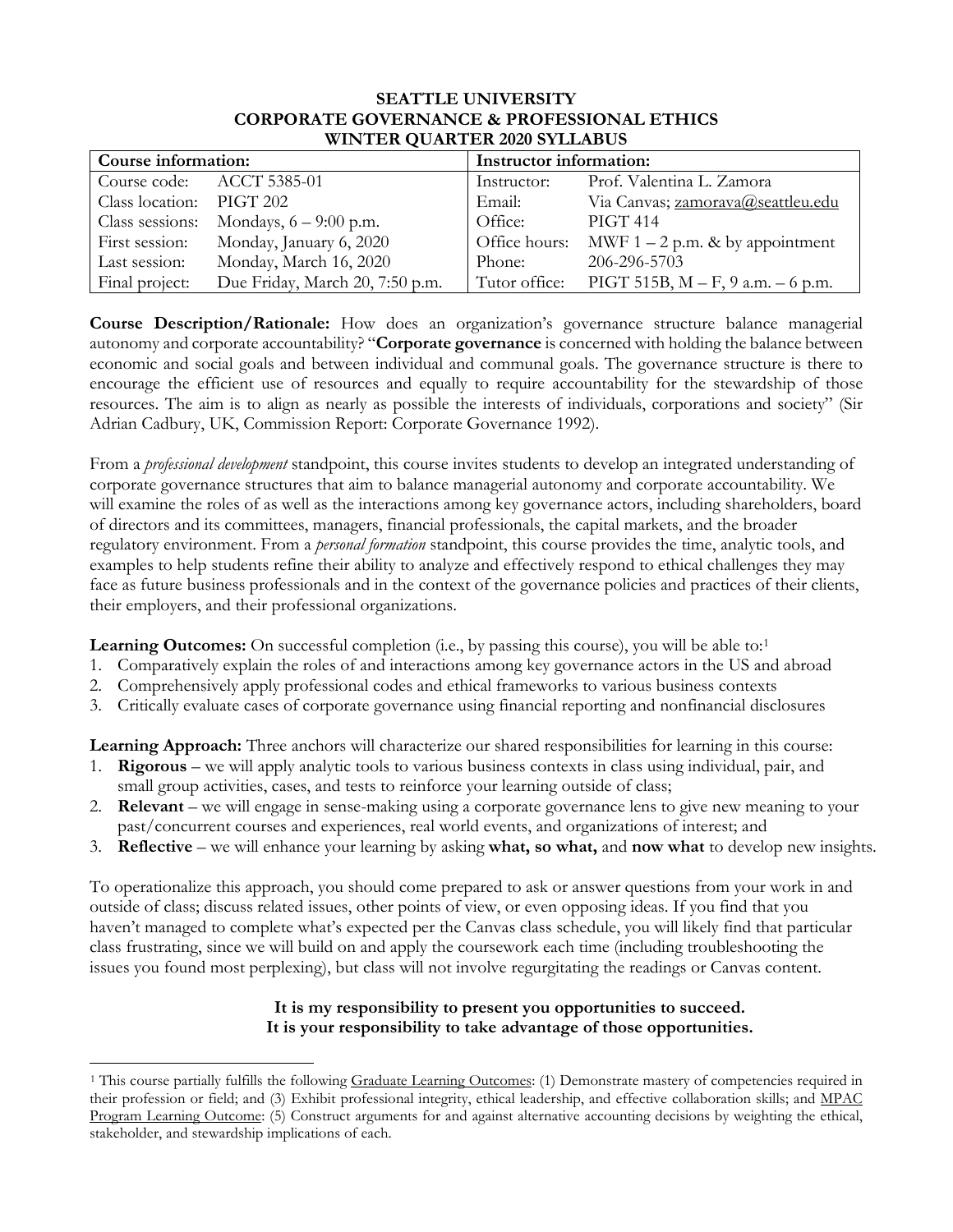## **SEATTLE UNIVERSITY CORPORATE GOVERNANCE & PROFESSIONAL ETHICS WINTER QUARTER 2020 SYLLABUS**

| Course information: |                                 | Instructor information: |                                     |  |  |  |  |  |
|---------------------|---------------------------------|-------------------------|-------------------------------------|--|--|--|--|--|
|                     | Course code: ACCT 5385-01       | Instructor:             | Prof. Valentina L. Zamora           |  |  |  |  |  |
| Class location:     | PIGT 202                        | Email:                  | Via Canvas; zamorava@seattleu.edu   |  |  |  |  |  |
| Class sessions:     | Mondays, $6 - 9:00$ p.m.        | Office:                 | <b>PIGT 414</b>                     |  |  |  |  |  |
| First session:      | Monday, January 6, 2020         | Office hours:           | MWF $1 - 2$ p.m. & by appointment   |  |  |  |  |  |
| Last session:       | Monday, March 16, 2020          | Phone:                  | 206-296-5703                        |  |  |  |  |  |
| Final project:      | Due Friday, March 20, 7:50 p.m. | Tutor office:           | $PIGT 515B, M - F, 9 a.m. - 6 p.m.$ |  |  |  |  |  |

**Course Description/Rationale:** How does an organization's governance structure balance managerial autonomy and corporate accountability? "**Corporate governance** is concerned with holding the balance between economic and social goals and between individual and communal goals. The governance structure is there to encourage the efficient use of resources and equally to require accountability for the stewardship of those resources. The aim is to align as nearly as possible the interests of individuals, corporations and society" (Sir Adrian Cadbury, UK, Commission Report: Corporate Governance 1992).

From a *professional development* standpoint, this course invites students to develop an integrated understanding of corporate governance structures that aim to balance managerial autonomy and corporate accountability. We will examine the roles of as well as the interactions among key governance actors, including shareholders, board of directors and its committees, managers, financial professionals, the capital markets, and the broader regulatory environment. From a *personal formation* standpoint, this course provides the time, analytic tools, and examples to help students refine their ability to analyze and effectively respond to ethical challenges they may face as future business professionals and in the context of the governance policies and practices of their clients, their employers, and their professional organizations.

**Learning Outcomes:** On successful completion (i.e., by passing this course), you will be able to:<sup>[1](#page-0-0)</sup>

- 1. Comparatively explain the roles of and interactions among key governance actors in the US and abroad
- 2. Comprehensively apply professional codes and ethical frameworks to various business contexts
- 3. Critically evaluate cases of corporate governance using financial reporting and nonfinancial disclosures

**Learning Approach:** Three anchors will characterize our shared responsibilities for learning in this course:

- 1. **Rigorous** we will apply analytic tools to various business contexts in class using individual, pair, and small group activities, cases, and tests to reinforce your learning outside of class;
- 2. **Relevant** we will engage in sense-making using a corporate governance lens to give new meaning to your past/concurrent courses and experiences, real world events, and organizations of interest; and
- 3. **Reflective** we will enhance your learning by asking **what, so what,** and **now what** to develop new insights.

To operationalize this approach, you should come prepared to ask or answer questions from your work in and outside of class; discuss related issues, other points of view, or even opposing ideas. If you find that you haven't managed to complete what's expected per the Canvas class schedule, you will likely find that particular class frustrating, since we will build on and apply the coursework each time (including troubleshooting the issues you found most perplexing), but class will not involve regurgitating the readings or Canvas content.

## **It is my responsibility to present you opportunities to succeed. It is your responsibility to take advantage of those opportunities.**

 $\overline{a}$ 

<span id="page-0-0"></span><sup>&</sup>lt;sup>1</sup> This course partially fulfills the following Graduate Learning Outcomes: (1) Demonstrate mastery of competencies required in their profession or field; and (3) Exhibit professional integrity, ethical leadership, and effective collaboration skills; and MPAC Program Learning Outcome: (5) Construct arguments for and against alternative accounting decisions by weighting the ethical, stakeholder, and stewardship implications of each.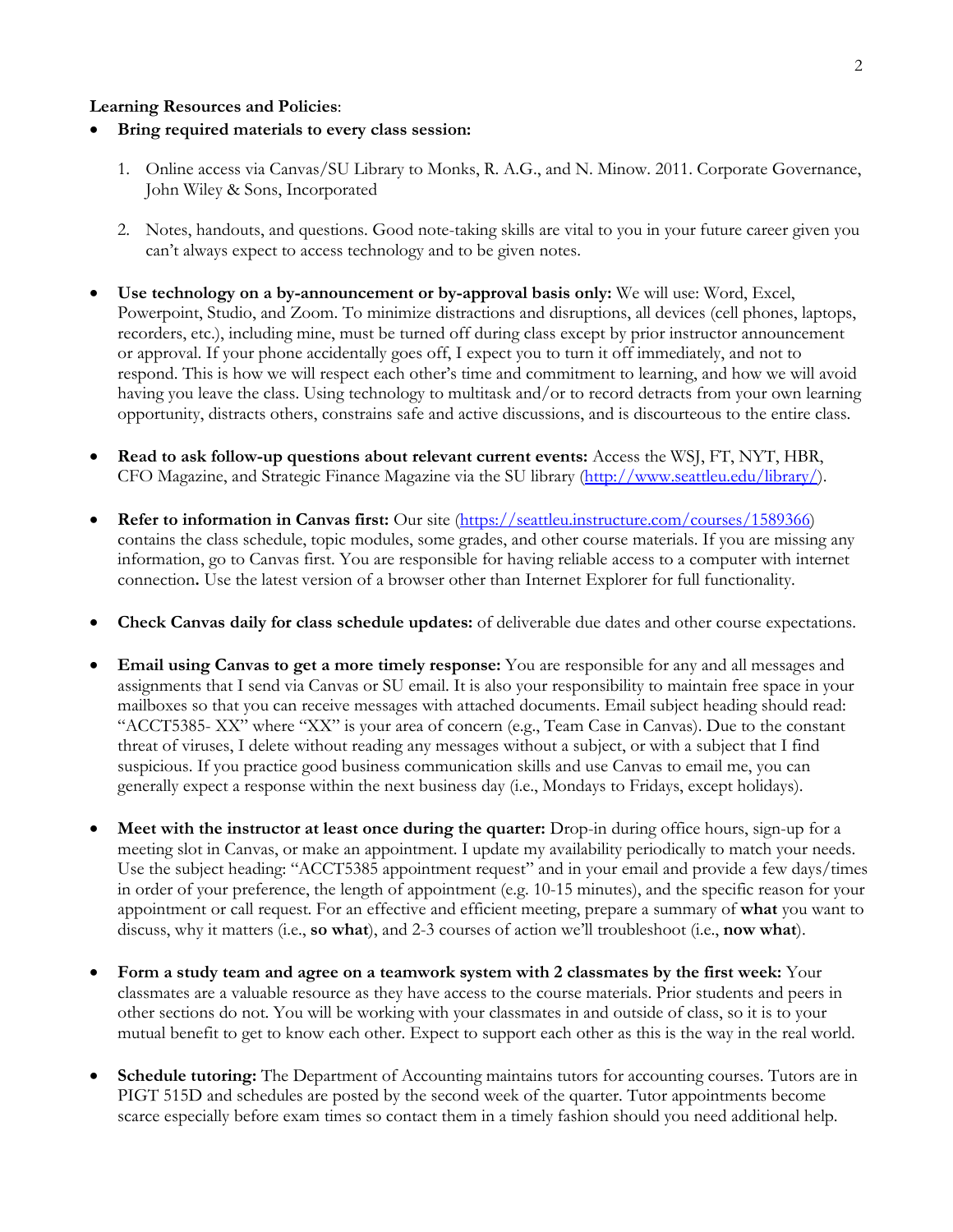## **Learning Resources and Policies**:

- **Bring required materials to every class session:** 
	- 1. Online access via Canvas/SU Library to Monks, R. A.G., and N. Minow. 2011. Corporate Governance, John Wiley & Sons, Incorporated
	- 2. Notes, handouts, and questions. Good note-taking skills are vital to you in your future career given you can't always expect to access technology and to be given notes.
- **Use technology on a by-announcement or by-approval basis only:** We will use: Word, Excel, Powerpoint, Studio, and Zoom. To minimize distractions and disruptions, all devices (cell phones, laptops, recorders, etc.), including mine, must be turned off during class except by prior instructor announcement or approval. If your phone accidentally goes off, I expect you to turn it off immediately, and not to respond. This is how we will respect each other's time and commitment to learning, and how we will avoid having you leave the class. Using technology to multitask and/or to record detracts from your own learning opportunity, distracts others, constrains safe and active discussions, and is discourteous to the entire class.
- **Read to ask follow-up questions about relevant current events:** Access the WSJ, FT, NYT, HBR, CFO Magazine, and Strategic Finance Magazine via the SU library [\(http://www.seattleu.edu/library/\)](http://www.seattleu.edu/library/).
- **Refer to information in Canvas first:** Our site [\(https://seattleu.instructure.com/courses/1589366\)](https://seattleu.instructure.com/login) contains the class schedule, topic modules, some grades, and other course materials. If you are missing any information, go to Canvas first. You are responsible for having reliable access to a computer with internet connection**.** Use the latest version of a browser other than Internet Explorer for full functionality.
- **Check Canvas daily for class schedule updates:** of deliverable due dates and other course expectations.
- **Email using Canvas to get a more timely response:** You are responsible for any and all messages and assignments that I send via Canvas or SU email. It is also your responsibility to maintain free space in your mailboxes so that you can receive messages with attached documents. Email subject heading should read: "ACCT5385- XX" where "XX" is your area of concern (e.g., Team Case in Canvas). Due to the constant threat of viruses, I delete without reading any messages without a subject, or with a subject that I find suspicious. If you practice good business communication skills and use Canvas to email me, you can generally expect a response within the next business day (i.e., Mondays to Fridays, except holidays).
- **Meet with the instructor at least once during the quarter:** Drop-in during office hours, sign-up for a meeting slot in Canvas, or make an appointment. I update my availability periodically to match your needs. Use the subject heading: "ACCT5385 appointment request" and in your email and provide a few days/times in order of your preference, the length of appointment (e.g. 10-15 minutes), and the specific reason for your appointment or call request. For an effective and efficient meeting, prepare a summary of **what** you want to discuss, why it matters (i.e., **so what**), and 2-3 courses of action we'll troubleshoot (i.e., **now what**).
- **Form a study team and agree on a teamwork system with 2 classmates by the first week:** Your classmates are a valuable resource as they have access to the course materials. Prior students and peers in other sections do not. You will be working with your classmates in and outside of class, so it is to your mutual benefit to get to know each other. Expect to support each other as this is the way in the real world.
- **Schedule tutoring:** The Department of Accounting maintains tutors for accounting courses. Tutors are in PIGT 515D and schedules are posted by the second week of the quarter. Tutor appointments become scarce especially before exam times so contact them in a timely fashion should you need additional help.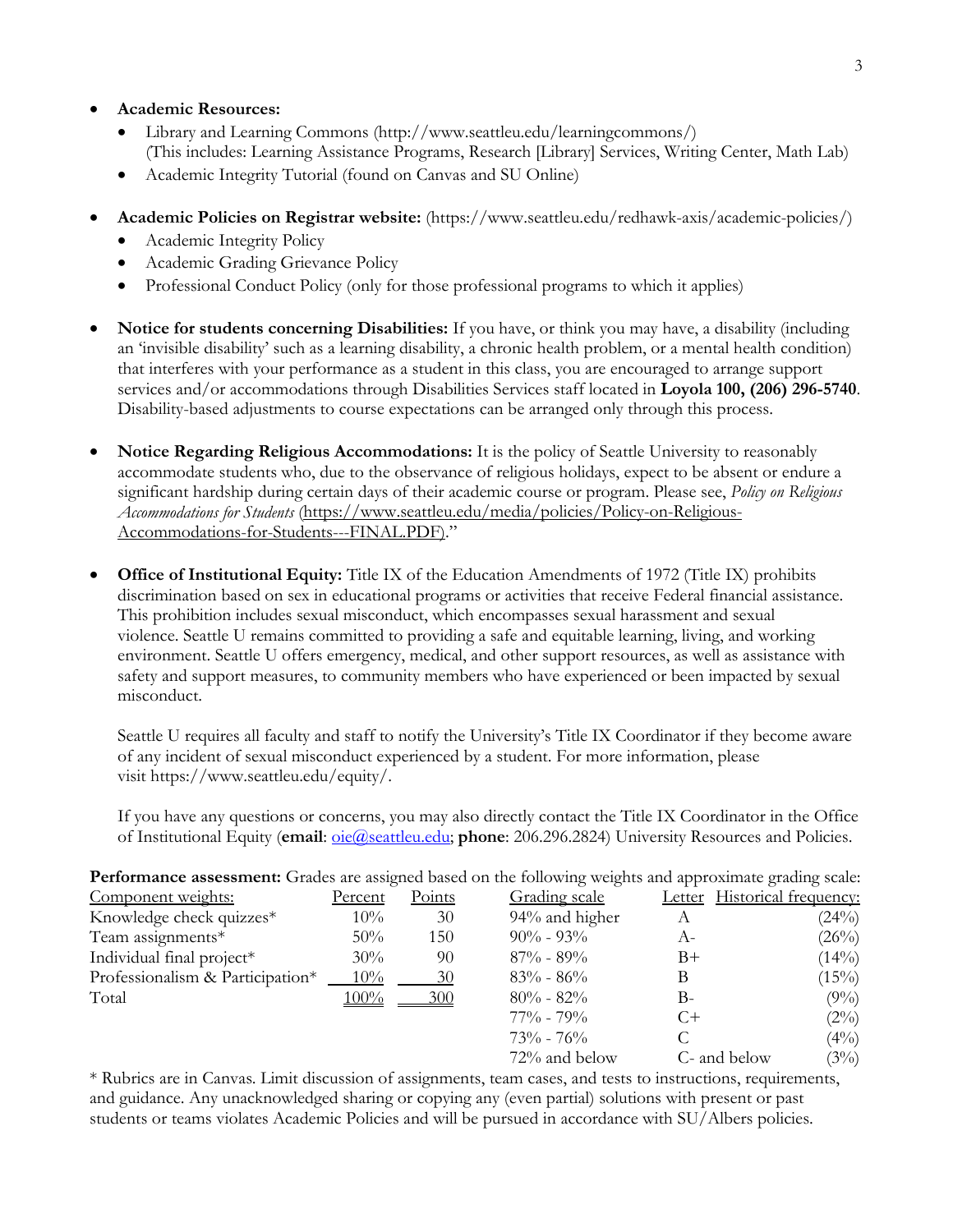- **Academic Resources:**
	- Library and Learning Commons (http://www.seattleu.edu/learningcommons/) (This includes: Learning Assistance Programs, Research [Library] Services, Writing Center, Math Lab)
	- Academic Integrity Tutorial (found on Canvas and SU Online)
- **Academic Policies on Registrar website:** (https://www.seattleu.edu/redhawk-axis/academic-policies/)
	- Academic Integrity Policy
	- Academic Grading Grievance Policy
	- Professional Conduct Policy (only for those professional programs to which it applies)
- **Notice for students concerning Disabilities:** If you have, or think you may have, a disability (including an 'invisible disability' such as a learning disability, a chronic health problem, or a mental health condition) that interferes with your performance as a student in this class, you are encouraged to arrange support services and/or accommodations through Disabilities Services staff located in **Loyola 100, (206) 296-5740**. Disability-based adjustments to course expectations can be arranged only through this process.
- **Notice Regarding Religious Accommodations:** It is the policy of Seattle University to reasonably accommodate students who, due to the observance of religious holidays, expect to be absent or endure a significant hardship during certain days of their academic course or program. Please see, *Policy on Religious Accommodations for Students* [\(https://www.seattleu.edu/media/policies/Policy-on-Religious-](https://www.seattleu.edu/media/policies/Policy-on-Religious-Accommodations-for-Students---FINAL.PDF))[Accommodations-for-Students---FINAL.PDF\).](https://www.seattleu.edu/media/policies/Policy-on-Religious-Accommodations-for-Students---FINAL.PDF))"
- **Office of Institutional Equity:** Title IX of the Education Amendments of 1972 (Title IX) prohibits discrimination based on sex in educational programs or activities that receive Federal financial assistance. This prohibition includes sexual misconduct, which encompasses sexual harassment and sexual violence. Seattle U remains committed to providing a safe and equitable learning, living, and working environment. Seattle U offers emergency, medical, and other support resources, as well as assistance with safety and support measures, to community members who have experienced or been impacted by sexual misconduct.

Seattle U requires all faculty and staff to notify the University's Title IX Coordinator if they become aware of any incident of sexual misconduct experienced by a student. For more information, please visit [https://www.seattleu.edu/equity/.](https://www.seattleu.edu/equity/)

If you have any questions or concerns, you may also directly contact the Title IX Coordinator in the Office of Institutional Equity (**email**: [oie@seattleu.edu;](mailto:oie@seattleu.edu) **phone**: 206.296.2824) University Resources and Policies.

| Performance assessment: Grades are assigned based on the following weights and approximate grading scale: |         |        |                |              |                              |
|-----------------------------------------------------------------------------------------------------------|---------|--------|----------------|--------------|------------------------------|
| Component weights:                                                                                        | Percent | Points | Grading scale  |              | Letter Historical frequency: |
| Knowledge check quizzes*                                                                                  | $10\%$  | 30     | 94% and higher | A            | (24%)                        |
| Team assignments*                                                                                         | 50%     | 150    | $90\% - 93\%$  | А-           | (26%)                        |
| Individual final project*                                                                                 | 30%     | 90     | $87\% - 89\%$  | B+           | $(14\%)$                     |
| Professionalism & Participation*                                                                          | $10\%$  | 30     | $83\% - 86\%$  | В            | (15%)                        |
| Total                                                                                                     | $100\%$ | 300    | $80\% - 82\%$  | $B-$         | $(9\%)$                      |
|                                                                                                           |         |        | $77\% - 79\%$  | $C+$         | (2%)                         |
|                                                                                                           |         |        | $73\% - 76\%$  |              | (4%)                         |
|                                                                                                           |         |        | 72% and below  | C- and below | (3%)                         |

\* Rubrics are in Canvas. Limit discussion of assignments, team cases, and tests to instructions, requirements, and guidance. Any unacknowledged sharing or copying any (even partial) solutions with present or past students or teams violates Academic Policies and will be pursued in accordance with SU/Albers policies.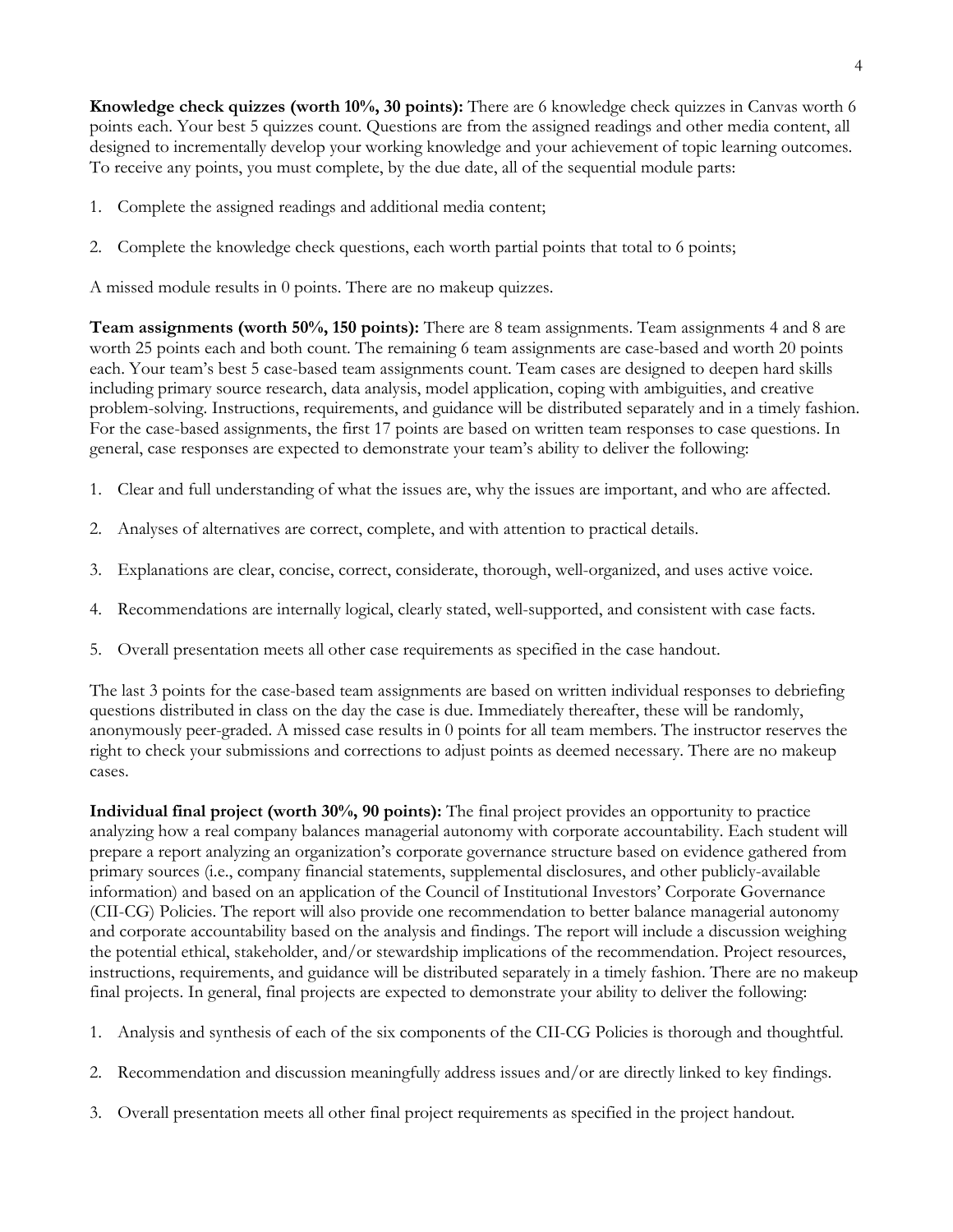**Knowledge check quizzes (worth 10%, 30 points):** There are 6 knowledge check quizzes in Canvas worth 6 points each. Your best 5 quizzes count. Questions are from the assigned readings and other media content, all designed to incrementally develop your working knowledge and your achievement of topic learning outcomes. To receive any points, you must complete, by the due date, all of the sequential module parts:

- 1. Complete the assigned readings and additional media content;
- 2. Complete the knowledge check questions, each worth partial points that total to 6 points;

A missed module results in 0 points. There are no makeup quizzes.

**Team assignments (worth 50%, 150 points):** There are 8 team assignments. Team assignments 4 and 8 are worth 25 points each and both count. The remaining 6 team assignments are case-based and worth 20 points each. Your team's best 5 case-based team assignments count. Team cases are designed to deepen hard skills including primary source research, data analysis, model application, coping with ambiguities, and creative problem-solving. Instructions, requirements, and guidance will be distributed separately and in a timely fashion. For the case-based assignments, the first 17 points are based on written team responses to case questions. In general, case responses are expected to demonstrate your team's ability to deliver the following:

- 1. Clear and full understanding of what the issues are, why the issues are important, and who are affected.
- 2. Analyses of alternatives are correct, complete, and with attention to practical details.
- 3. Explanations are clear, concise, correct, considerate, thorough, well-organized, and uses active voice.
- 4. Recommendations are internally logical, clearly stated, well-supported, and consistent with case facts.
- 5. Overall presentation meets all other case requirements as specified in the case handout.

The last 3 points for the case-based team assignments are based on written individual responses to debriefing questions distributed in class on the day the case is due. Immediately thereafter, these will be randomly, anonymously peer-graded. A missed case results in 0 points for all team members. The instructor reserves the right to check your submissions and corrections to adjust points as deemed necessary. There are no makeup cases.

**Individual final project (worth 30%, 90 points):** The final project provides an opportunity to practice analyzing how a real company balances managerial autonomy with corporate accountability. Each student will prepare a report analyzing an organization's corporate governance structure based on evidence gathered from primary sources (i.e., company financial statements, supplemental disclosures, and other publicly-available information) and based on an application of the Council of Institutional Investors' Corporate Governance (CII-CG) Policies. The report will also provide one recommendation to better balance managerial autonomy and corporate accountability based on the analysis and findings. The report will include a discussion weighing the potential ethical, stakeholder, and/or stewardship implications of the recommendation. Project resources, instructions, requirements, and guidance will be distributed separately in a timely fashion. There are no makeup final projects. In general, final projects are expected to demonstrate your ability to deliver the following:

- 1. Analysis and synthesis of each of the six components of the CII-CG Policies is thorough and thoughtful.
- 2. Recommendation and discussion meaningfully address issues and/or are directly linked to key findings.
- 3. Overall presentation meets all other final project requirements as specified in the project handout.